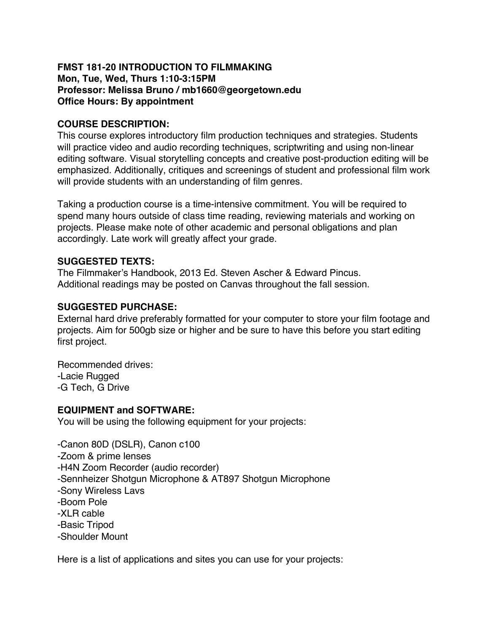## **FMST 181-20 INTRODUCTION TO FILMMAKING Mon, Tue, Wed, Thurs 1:10-3:15PM Professor: Melissa Bruno / mb1660@georgetown.edu Office Hours: By appointment**

# **COURSE DESCRIPTION:**

This course explores introductory film production techniques and strategies. Students will practice video and audio recording techniques, scriptwriting and using non-linear editing software. Visual storytelling concepts and creative post-production editing will be emphasized. Additionally, critiques and screenings of student and professional film work will provide students with an understanding of film genres.

Taking a production course is a time-intensive commitment. You will be required to spend many hours outside of class time reading, reviewing materials and working on projects. Please make note of other academic and personal obligations and plan accordingly. Late work will greatly affect your grade.

## **SUGGESTED TEXTS:**

The Filmmaker's Handbook, 2013 Ed. Steven Ascher & Edward Pincus. Additional readings may be posted on Canvas throughout the fall session.

## **SUGGESTED PURCHASE:**

External hard drive preferably formatted for your computer to store your film footage and projects. Aim for 500gb size or higher and be sure to have this before you start editing first project.

Recommended drives: -Lacie Rugged -G Tech, G Drive

### **EQUIPMENT and SOFTWARE:**

You will be using the following equipment for your projects:

-Canon 80D (DSLR), Canon c100 -Zoom & prime lenses -H4N Zoom Recorder (audio recorder) -Sennheizer Shotgun Microphone & AT897 Shotgun Microphone -Sony Wireless Lavs -Boom Pole -XLR cable -Basic Tripod -Shoulder Mount

Here is a list of applications and sites you can use for your projects: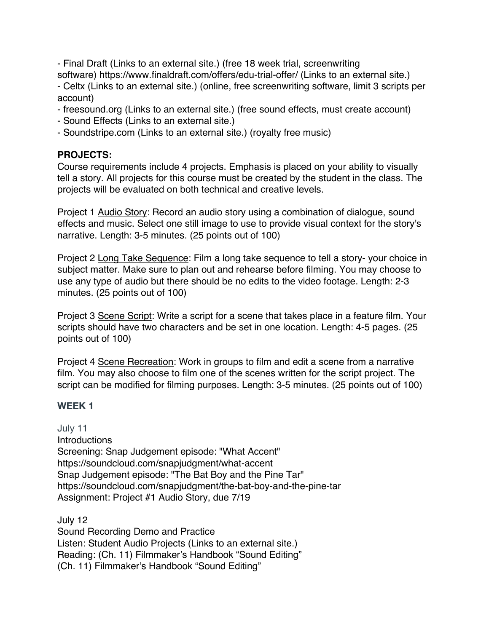- Final Draft (Links to an external site.) (free 18 week trial, screenwriting software) https://www.finaldraft.com/offers/edu-trial-offer/ (Links to an external site.) - Celtx (Links to an external site.) (online, free screenwriting software, limit 3 scripts per account)

- freesound.org (Links to an external site.) (free sound effects, must create account)
- Sound Effects (Links to an external site.)
- Soundstripe.com (Links to an external site.) (royalty free music)

### **PROJECTS:**

Course requirements include 4 projects. Emphasis is placed on your ability to visually tell a story. All projects for this course must be created by the student in the class. The projects will be evaluated on both technical and creative levels.

Project 1 Audio Story: Record an audio story using a combination of dialogue, sound effects and music. Select one still image to use to provide visual context for the story's narrative. Length: 3-5 minutes. (25 points out of 100)

Project 2 Long Take Sequence: Film a long take sequence to tell a story- your choice in subject matter. Make sure to plan out and rehearse before filming. You may choose to use any type of audio but there should be no edits to the video footage. Length: 2-3 minutes. (25 points out of 100)

Project 3 Scene Script: Write a script for a scene that takes place in a feature film. Your scripts should have two characters and be set in one location. Length: 4-5 pages. (25 points out of 100)

Project 4 Scene Recreation: Work in groups to film and edit a scene from a narrative film. You may also choose to film one of the scenes written for the script project. The script can be modified for filming purposes. Length: 3-5 minutes. (25 points out of 100)

#### **WEEK 1**

July 11 **Introductions** Screening: Snap Judgement episode: "What Accent" https://soundcloud.com/snapjudgment/what-accent Snap Judgement episode: "The Bat Boy and the Pine Tar" https://soundcloud.com/snapjudgment/the-bat-boy-and-the-pine-tar Assignment: Project #1 Audio Story, due 7/19

July 12 Sound Recording Demo and Practice Listen: Student Audio Projects (Links to an external site.) Reading: (Ch. 11) Filmmaker's Handbook "Sound Editing" (Ch. 11) Filmmaker's Handbook "Sound Editing"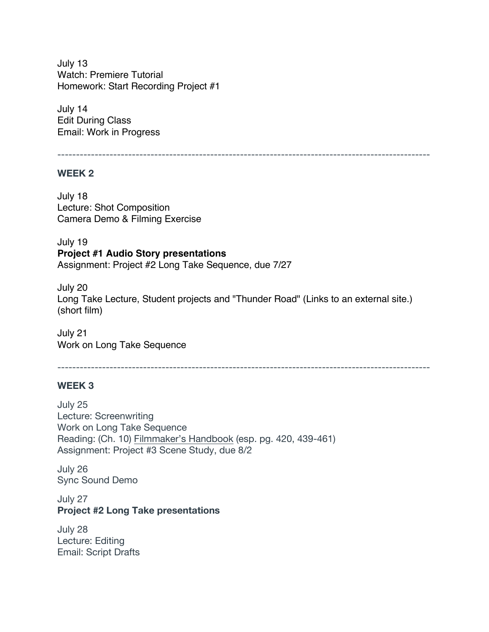July 13 Watch: Premiere Tutorial Homework: Start Recording Project #1

July 14 Edit During Class Email: Work in Progress

----------------------------------------------------------------------------------------------------

#### **WEEK 2**

July 18 Lecture: Shot Composition Camera Demo & Filming Exercise

July 19 **Project #1 Audio Story presentations** Assignment: Project #2 Long Take Sequence, due 7/27

July 20 Long Take Lecture, Student projects and "Thunder Road" (Links to an external site.) (short film)

July 21 Work on Long Take Sequence

----------------------------------------------------------------------------------------------------

### **WEEK 3**

July 25 Lecture: Screenwriting Work on Long Take Sequence Reading: (Ch. 10) Filmmaker's Handbook (esp. pg. 420, 439-461) Assignment: Project #3 Scene Study, due 8/2

July 26 Sync Sound Demo

July 27 **Project #2 Long Take presentations**

July 28 Lecture: Editing Email: Script Drafts